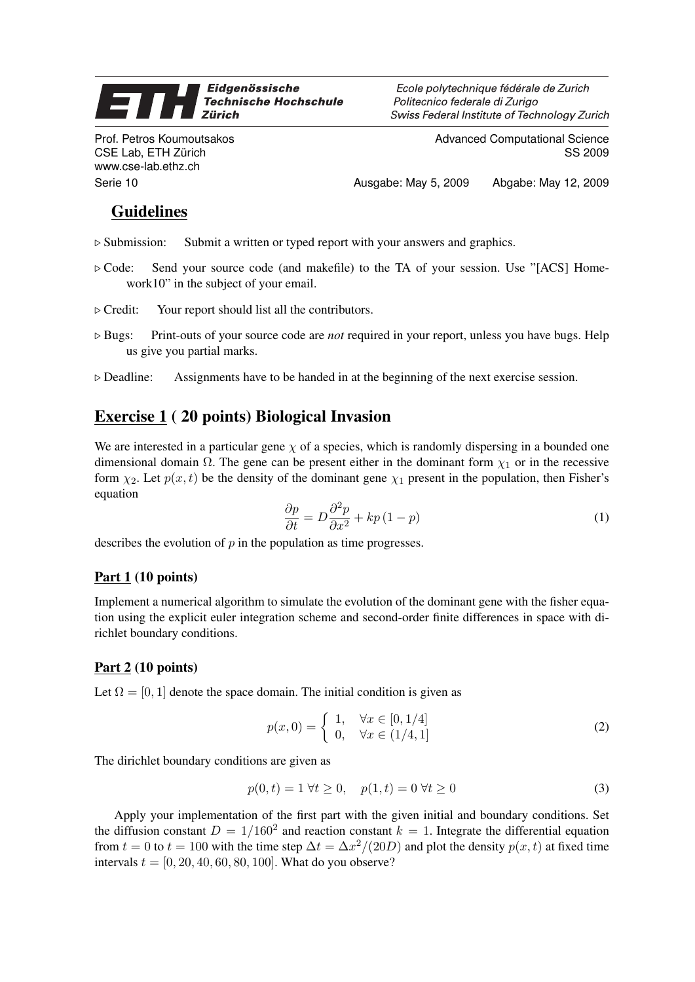#### Eidgenössische 7 **Technische Hochschule Zürich**

Prof. Petros Koumoutsakos CSE Lab, ETH Zürich www.cse-lab.ethz.ch

Ecole polytechnique fédérale de Zurich Politecnico federale di Zurigo Swiss Federal Institute of Technology Zurich

> Advanced Computational Science SS 2009

Serie 10 Ausgabe: May 5, 2009 Abgabe: May 12, 2009

# **Guidelines**

- $\triangleright$  Submission: Submit a written or typed report with your answers and graphics.
- $\triangleright$  Code: Send your source code (and makefile) to the TA of your session. Use "[ACS] Homework10" in the subject of your email.
- $\triangleright$  Credit: Your report should list all the contributors.
- . Bugs: Print-outs of your source code are *not* required in your report, unless you have bugs. Help us give you partial marks.
- $\triangleright$  Deadline: Assignments have to be handed in at the beginning of the next exercise session.

# Exercise 1 ( 20 points) Biological Invasion

We are interested in a particular gene  $\chi$  of a species, which is randomly dispersing in a bounded one dimensional domain  $\Omega$ . The gene can be present either in the dominant form  $\chi_1$  or in the recessive form  $\chi_2$ . Let  $p(x, t)$  be the density of the dominant gene  $\chi_1$  present in the population, then Fisher's equation

$$
\frac{\partial p}{\partial t} = D \frac{\partial^2 p}{\partial x^2} + k p (1 - p) \tag{1}
$$

describes the evolution of  $p$  in the population as time progresses.

## $Part 1 (10 points)$

Implement a numerical algorithm to simulate the evolution of the dominant gene with the fisher equation using the explicit euler integration scheme and second-order finite differences in space with dirichlet boundary conditions.

## Part 2 (10 points)

Let  $\Omega = [0, 1]$  denote the space domain. The initial condition is given as

$$
p(x,0) = \begin{cases} 1, & \forall x \in [0,1/4] \\ 0, & \forall x \in (1/4,1] \end{cases}
$$
 (2)

The dirichlet boundary conditions are given as

$$
p(0,t) = 1 \,\forall t \ge 0, \quad p(1,t) = 0 \,\forall t \ge 0 \tag{3}
$$

Apply your implementation of the first part with the given initial and boundary conditions. Set the diffusion constant  $D = 1/160^2$  and reaction constant  $k = 1$ . Integrate the differential equation from  $t = 0$  to  $t = 100$  with the time step  $\Delta t = \Delta x^2/(20D)$  and plot the density  $p(x, t)$  at fixed time intervals  $t = [0, 20, 40, 60, 80, 100]$ . What do you observe?